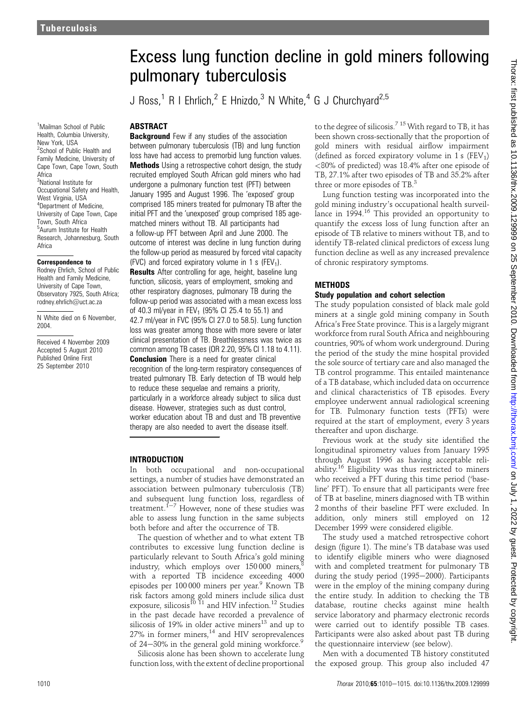<sup>1</sup>Mailman School of Public Health, Columbia University, New York, USA <sup>2</sup>School of Public Health and Family Medicine, University of Cape Town, Cape Town, South Africa <sup>3</sup>National Institute for Occupational Safety and Health, West Virginia, USA 4 Department of Medicine, University of Cape Town, Cape Town, South Africa 5 Aurum Institute for Health Research, Johannesburg, South Africa

#### Correspondence to

Rodney Ehrlich, School of Public Health and Family Medicine, University of Cape Town, Observatory 7925, South Africa; rodney.ehrlich@uct.ac.za

N White died on 6 November, 2004.

Received 4 November 2009 Accepted 5 August 2010 Published Online First 25 September 2010

# Excess lung function decline in gold miners following pulmonary tuberculosis

J Ross,<sup>1</sup> R I Ehrlich,<sup>2</sup> E Hnizdo,<sup>3</sup> N White,<sup>4</sup> G J Churchyard<sup>2,5</sup>

### ABSTRACT

**Background** Few if any studies of the association between pulmonary tuberculosis (TB) and lung function loss have had access to premorbid lung function values. **Methods** Using a retrospective cohort design, the study recruited employed South African gold miners who had undergone a pulmonary function test (PFT) between January 1995 and August 1996. The 'exposed' group comprised 185 miners treated for pulmonary TB after the initial PFT and the 'unexposed' group comprised 185 agematched miners without TB. All participants had a follow-up PFT between April and June 2000. The outcome of interest was decline in lung function during the follow-up period as measured by forced vital capacity (FVC) and forced expiratory volume in 1 s (FEV<sub>1</sub>). **Results** After controlling for age, height, baseline lung function, silicosis, years of employment, smoking and other respiratory diagnoses, pulmonary TB during the follow-up period was associated with a mean excess loss of 40.3 ml/year in FEV<sub>1</sub> (95% CI 25.4 to 55.1) and 42.7 ml/year in FVC (95% CI 27.0 to 58.5). Lung function loss was greater among those with more severe or later clinical presentation of TB. Breathlessness was twice as common among TB cases (OR 2.20, 95% CI 1.18 to 4.11). **Conclusion** There is a need for greater clinical recognition of the long-term respiratory consequences of treated pulmonary TB. Early detection of TB would help to reduce these sequelae and remains a priority, particularly in a workforce already subject to silica dust disease. However, strategies such as dust control, worker education about TB and dust and TB preventive therapy are also needed to avert the disease itself.

### INTRODUCTION

In both occupational and non-occupational settings, a number of studies have demonstrated an association between pulmonary tuberculosis (TB) and subsequent lung function loss, regardless of treatment. $1-7$  However, none of these studies was able to assess lung function in the same subjects both before and after the occurrence of TB.

The question of whether and to what extent TB contributes to excessive lung function decline is particularly relevant to South Africa's gold mining industry, which employs over 150000 miners, with a reported TB incidence exceeding 4000 episodes per 100 000 miners per year.<sup>9</sup> Known TB risk factors among gold miners include silica dust exposure, silicosis<sup>10 11</sup> and HIV infection.<sup>12</sup> Studies in the past decade have recorded a prevalence of silicosis of 19% in older active miners<sup>13</sup> and up to 27% in former miners,<sup>14</sup> and HIV seroprevalences of 24 $-30\%$  in the general gold mining workforce.<sup>9</sup>

Silicosis alone has been shown to accelerate lung function loss, with the extent of decline proportional to the degree of silicosis.<sup>7 15</sup> With regard to TB, it has been shown cross-sectionally that the proportion of gold miners with residual airflow impairment (defined as forced expiratory volume in  $1 \text{ s}$  (FEV<sub>1</sub>) <80% of predicted) was 18.4% after one episode of TB, 27.1% after two episodes of TB and 35.2% after three or more episodes of TB.<sup>3</sup>

Lung function testing was incorporated into the gold mining industry's occupational health surveillance in 1994.<sup>16</sup> This provided an opportunity to quantify the excess loss of lung function after an episode of TB relative to miners without TB, and to identify TB-related clinical predictors of excess lung function decline as well as any increased prevalence of chronic respiratory symptoms.

### **METHODS**

### Study population and cohort selection

The study population consisted of black male gold miners at a single gold mining company in South Africa's Free State province. This is a largely migrant workforce from rural South Africa and neighbouring countries, 90% of whom work underground. During the period of the study the mine hospital provided the sole source of tertiary care and also managed the TB control programme. This entailed maintenance of a TB database, which included data on occurrence and clinical characteristics of TB episodes. Every employee underwent annual radiological screening for TB. Pulmonary function tests (PFTs) were required at the start of employment, every 3 years thereafter and upon discharge.

Previous work at the study site identified the longitudinal spirometry values from January 1995 through August 1996 as having acceptable reliability.<sup>16</sup> Eligibility was thus restricted to miners who received a PFT during this time period ('baseline' PFT). To ensure that all participants were free of TB at baseline, miners diagnosed with TB within 2 months of their baseline PFT were excluded. In addition, only miners still employed on 12 December 1999 were considered eligible.

The study used a matched retrospective cohort design (figure 1). The mine's TB database was used to identify eligible miners who were diagnosed with and completed treatment for pulmonary TB during the study period (1995-2000). Participants were in the employ of the mining company during the entire study. In addition to checking the TB database, routine checks against mine health service laboratory and pharmacy electronic records were carried out to identify possible TB cases. Participants were also asked about past TB during the questionnaire interview (see below).

Men with a documented TB history constituted the exposed group. This group also included 47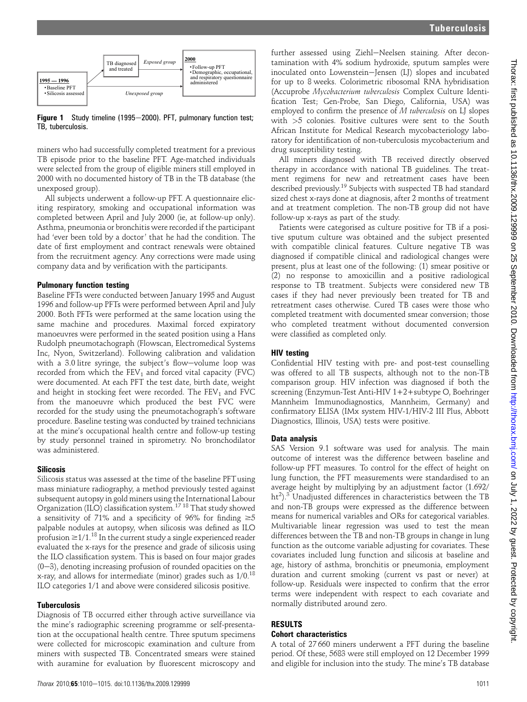

Figure 1 Study timeline (1995-2000). PFT, pulmonary function test; TB, tuberculosis.

miners who had successfully completed treatment for a previous TB episode prior to the baseline PFT. Age-matched individuals were selected from the group of eligible miners still employed in 2000 with no documented history of TB in the TB database (the unexposed group).

All subjects underwent a follow-up PFT. A questionnaire eliciting respiratory, smoking and occupational information was completed between April and July 2000 (ie, at follow-up only). Asthma, pneumonia or bronchitis were recorded if the participant had 'ever been told by a doctor' that he had the condition. The date of first employment and contract renewals were obtained from the recruitment agency. Any corrections were made using company data and by verification with the participants.

### Pulmonary function testing

Baseline PFTs were conducted between January 1995 and August 1996 and follow-up PFTs were performed between April and July 2000. Both PFTs were performed at the same location using the same machine and procedures. Maximal forced expiratory manoeuvres were performed in the seated position using a Hans Rudolph pneumotachograph (Flowscan, Electromedical Systems Inc, Nyon, Switzerland). Following calibration and validation with a 3.0 litre syringe, the subject's flow-volume loop was recorded from which the  $FEV_1$  and forced vital capacity (FVC) were documented. At each PFT the test date, birth date, weight and height in stocking feet were recorded. The  $FEV<sub>1</sub>$  and  $FVC$ from the manoeuvre which produced the best FVC were recorded for the study using the pneumotachograph's software procedure. Baseline testing was conducted by trained technicians at the mine's occupational health centre and follow-up testing by study personnel trained in spirometry. No bronchodilator was administered.

### Silicosis

Silicosis status was assessed at the time of the baseline PFTusing mass miniature radiography, a method previously tested against subsequent autopsy in gold miners using the International Labour Organization (ILO) classification system.<sup>17</sup> <sup>18</sup> That study showed a sensitivity of 71% and a specificity of 96% for finding  $\geq 5$ palpable nodules at autopsy, when silicosis was defined as ILO profusion  $\geq 1/1$ .<sup>18</sup> In the current study a single experienced reader evaluated the x-rays for the presence and grade of silicosis using the ILO classification system. This is based on four major grades  $(0-3)$ , denoting increasing profusion of rounded opacities on the x-ray, and allows for intermediate (minor) grades such as  $1/0$ .<sup>18</sup> ILO categories 1/1 and above were considered silicosis positive.

# Tuberculosis

Diagnosis of TB occurred either through active surveillance via the mine's radiographic screening programme or self-presentation at the occupational health centre. Three sputum specimens were collected for microscopic examination and culture from miners with suspected TB. Concentrated smears were stained with auramine for evaluation by fluorescent microscopy and

further assessed using Ziehl-Neelsen staining. After decontamination with 4% sodium hydroxide, sputum samples were inoculated onto Lowenstein-Jensen (LJ) slopes and incubated for up to 8 weeks. Colorimetric ribosomal RNA hybridisation (Accuprobe Mycobacterium tuberculosis Complex Culture Identification Test; Gen-Probe, San Diego, California, USA) was employed to confirm the presence of M tuberculosis on LJ slopes with >5 colonies. Positive cultures were sent to the South African Institute for Medical Research mycobacteriology laboratory for identification of non-tuberculosis mycobacterium and drug susceptibility testing.

All miners diagnosed with TB received directly observed therapy in accordance with national TB guidelines. The treatment regimens for new and retreatment cases have been described previously.19 Subjects with suspected TB had standard sized chest x-rays done at diagnosis, after 2 months of treatment and at treatment completion. The non-TB group did not have follow-up x-rays as part of the study.

Patients were categorised as culture positive for TB if a positive sputum culture was obtained and the subject presented with compatible clinical features. Culture negative TB was diagnosed if compatible clinical and radiological changes were present, plus at least one of the following: (1) smear positive or (2) no response to amoxicillin and a positive radiological response to TB treatment. Subjects were considered new TB cases if they had never previously been treated for TB and retreatment cases otherwise. Cured TB cases were those who completed treatment with documented smear conversion; those who completed treatment without documented conversion were classified as completed only.

# HIV testing

Confidential HIV testing with pre- and post-test counselling was offered to all TB suspects, although not to the non-TB comparison group. HIV infection was diagnosed if both the screening (Enzymun-Test Anti-HIV 1+2+subtype O, Boehringer Mannheim Immunodiagnostics, Mannheim, Germany) and confirmatory ELISA (IMx system HIV-1/HIV-2 III Plus, Abbott Diagnostics, Illinois, USA) tests were positive.

# Data analysis

SAS Version 9.1 software was used for analysis. The main outcome of interest was the difference between baseline and follow-up PFT measures. To control for the effect of height on lung function, the PFT measurements were standardised to an average height by multiplying by an adjustment factor (1.692/ ht<sup>2</sup>).<sup>3</sup> Unadjusted differences in characteristics between the TB and non-TB groups were expressed as the difference between means for numerical variables and ORs for categorical variables. Multivariable linear regression was used to test the mean differences between the TB and non-TB groups in change in lung function as the outcome variable adjusting for covariates. These covariates included lung function and silicosis at baseline and age, history of asthma, bronchitis or pneumonia, employment duration and current smoking (current vs past or never) at follow-up. Residuals were inspected to confirm that the error terms were independent with respect to each covariate and normally distributed around zero.

# RESULTS

# Cohort characteristics

A total of 27 660 miners underwent a PFT during the baseline period. Of these, 5683 were still employed on 12 December 1999 and eligible for inclusion into the study. The mine's TB database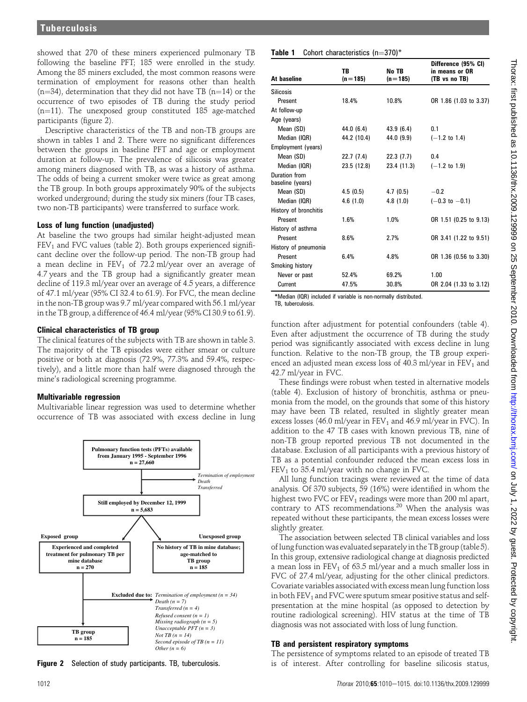showed that 270 of these miners experienced pulmonary TB following the baseline PFT; 185 were enrolled in the study. Among the 85 miners excluded, the most common reasons were termination of employment for reasons other than health  $(n=34)$ , determination that they did not have TB  $(n=14)$  or the occurrence of two episodes of TB during the study period  $(n=11)$ . The unexposed group constituted 185 age-matched participants (figure 2).

Descriptive characteristics of the TB and non-TB groups are shown in tables 1 and 2. There were no significant differences between the groups in baseline PFT and age or employment duration at follow-up. The prevalence of silicosis was greater among miners diagnosed with TB, as was a history of asthma. The odds of being a current smoker were twice as great among the TB group. In both groups approximately 90% of the subjects worked underground; during the study six miners (four TB cases, two non-TB participants) were transferred to surface work.

### Loss of lung function (unadjusted)

At baseline the two groups had similar height-adjusted mean  $FEV<sub>1</sub>$  and FVC values (table 2). Both groups experienced significant decline over the follow-up period. The non-TB group had a mean decline in  $FEV_1$  of 72.2 ml/year over an average of 4.7 years and the TB group had a significantly greater mean decline of 119.3 ml/year over an average of 4.5 years, a difference of 47.1 ml/year (95% CI 32.4 to 61.9). For FVC, the mean decline in the non-TB group was 9.7 ml/year compared with 56.1 ml/year in the TB group, a difference of 46.4 ml/year (95% CI 30.9 to 61.9).

### Clinical characteristics of TB group

The clinical features of the subjects with TB are shown in table 3. The majority of the TB episodes were either smear or culture positive or both at diagnosis (72.9%, 77.3% and 59.4%, respectively), and a little more than half were diagnosed through the mine's radiological screening programme.

### Multivariable regression

Multivariable linear regression was used to determine whether occurrence of TB was associated with excess decline in lung



Figure 2 Selection of study participants. TB, tuberculosis.

#### **Table 1** Cohort characteristics  $(n=370)^*$

| At baseline                       | <b>TB</b><br>$(n=185)$ | No TB<br>$(n=185)$ | Difference (95% CI)<br>in means or OR<br>(TB vs no TB) |
|-----------------------------------|------------------------|--------------------|--------------------------------------------------------|
| <b>Silicosis</b>                  |                        |                    |                                                        |
| Present                           | 18.4%                  | 10.8%              | OR 1.86 (1.03 to 3.37)                                 |
| At follow-up                      |                        |                    |                                                        |
| Age (years)                       |                        |                    |                                                        |
| Mean (SD)                         | 44.0(6.4)              | 43.9(6.4)          | 0.1                                                    |
| Median (IQR)                      | 44.2 (10.4)            | 44.0 (9.9)         | $(-1.2 \text{ to } 1.4)$                               |
| Employment (years)                |                        |                    |                                                        |
| Mean (SD)                         | 22.7 (7.4)             | 22.3(7.7)          | 0.4                                                    |
| Median (IQR)                      | 23.5 (12.8)            | 23.4 (11.3)        | $(-1.2 \text{ to } 1.9)$                               |
| Duration from<br>baseline (years) |                        |                    |                                                        |
| Mean (SD)                         | 4.5(0.5)               | 4.7(0.5)           | $-0.2$                                                 |
| Median (IQR)                      | 4.6(1.0)               | 4.8(1.0)           | $(-0.3 \text{ to } -0.1)$                              |
| History of bronchitis             |                        |                    |                                                        |
| Present                           | 1.6%                   | 1.0%               | OR 1.51 (0.25 to 9.13)                                 |
| History of asthma                 |                        |                    |                                                        |
| Present                           | 8.6%                   | 2.7%               | OR 3.41 (1.22 to 9.51)                                 |
| History of pneumonia              |                        |                    |                                                        |
| Present                           | 6.4%                   | 4.8%               | OR 1.36 (0.56 to 3.30)                                 |
| Smoking history                   |                        |                    |                                                        |
| Never or past                     | 52.4%                  | 69.2%              | 1.00                                                   |
| Current                           | 47.5%                  | 30.8%              | OR 2.04 (1.33 to 3.12)                                 |

\*Median (IQR) included if variable is non-normally distributed. TB, tuberculosis.

function after adjustment for potential confounders (table 4). Even after adjustment the occurrence of TB during the study period was significantly associated with excess decline in lung function. Relative to the non-TB group, the TB group experienced an adjusted mean excess loss of 40.3 ml/year in  $FEV<sub>1</sub>$  and 42.7 ml/year in FVC.

These findings were robust when tested in alternative models (table 4). Exclusion of history of bronchitis, asthma or pneumonia from the model, on the grounds that some of this history may have been TB related, resulted in slightly greater mean excess losses (46.0 ml/year in  $FEV<sub>1</sub>$  and 46.9 ml/year in FVC). In addition to the 47 TB cases with known previous TB, nine of non-TB group reported previous TB not documented in the database. Exclusion of all participants with a previous history of TB as a potential confounder reduced the mean excess loss in  $FEV<sub>1</sub>$  to 35.4 ml/year with no change in FVC.

All lung function tracings were reviewed at the time of data analysis. Of 370 subjects, 59 (16%) were identified in whom the highest two FVC or  $FEV_1$  readings were more than 200 ml apart, contrary to ATS recommendations.<sup>20</sup> When the analysis was repeated without these participants, the mean excess losses were slightly greater.

The association between selected TB clinical variables and loss oflung function was evaluated separately in the TB group (table 5). In this group, extensive radiological change at diagnosis predicted a mean loss in  $FEV<sub>1</sub>$  of 63.5 ml/year and a much smaller loss in FVC of 27.4 ml/year, adjusting for the other clinical predictors. Covariate variables associated with excess mean lung function loss in both  $FEV<sub>1</sub>$  and  $FVC$  were sputum smear positive status and selfpresentation at the mine hospital (as opposed to detection by routine radiological screening). HIV status at the time of TB diagnosis was not associated with loss of lung function.

### TB and persistent respiratory symptoms

The persistence of symptoms related to an episode of treated TB is of interest. After controlling for baseline silicosis status,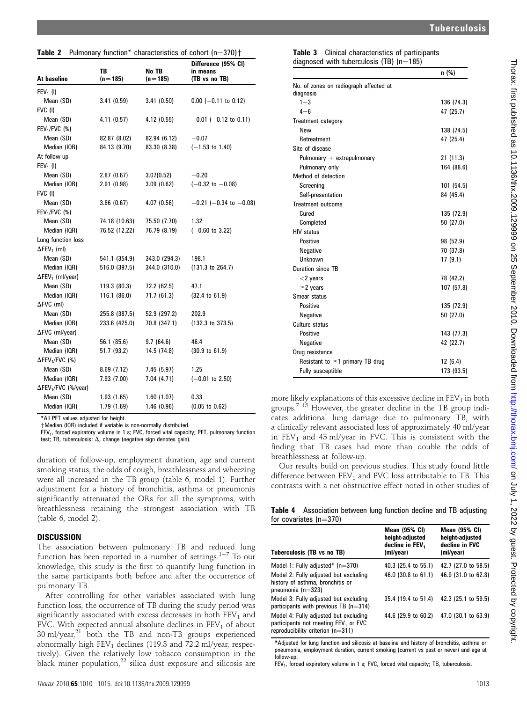|  | <b>Table 2</b> Pulmonary function* characteristics of cohort $(n=370)$ $\dagger$ |  |  |
|--|----------------------------------------------------------------------------------|--|--|
|  |                                                                                  |  |  |

| At baseline                         | <b>TB</b><br>$(n=185)$ | No TB<br>$(n=185)$ | Difference (95% CI)<br>in means<br>(TB vs no TB) |
|-------------------------------------|------------------------|--------------------|--------------------------------------------------|
| $FEV_1$ (I)                         |                        |                    |                                                  |
| Mean (SD)                           | 3.41(0.59)             | 3.41(0.50)         | $0.00$ (-0.11 to 0.12)                           |
| FVC (I)                             |                        |                    |                                                  |
| Mean (SD)                           | 4.11(0.57)             | 4.12(0.55)         | $-0.01$ ( $-0.12$ to 0.11)                       |
| $FEV1/FVC$ (%)                      |                        |                    |                                                  |
| Mean (SD)                           | 82.87 (8.02)           | 82.94 (6.12)       | $-0.07$                                          |
| Median (IQR)                        | 84.13 (9.70)           | 83.30 (8.38)       | $(-1.53$ to 1.40)                                |
| At follow-up                        |                        |                    |                                                  |
| $FEV1$ (I)                          |                        |                    |                                                  |
| Mean (SD)                           | 2.87(0.67)             | 3.07(0.52)         | $-0.20$                                          |
| Median (IQR)                        | 2.91(0.98)             | 3.09(0.62)         | $(-0.32 \text{ to } -0.08)$                      |
| FVC (I)                             |                        |                    |                                                  |
| Mean (SD)                           | 3.86(0.67)             | 4.07(0.56)         | $-0.21$ (-0.34 to -0.08)                         |
| $FEV1/FVC$ (%)                      |                        |                    |                                                  |
| Mean (SD)                           | 74.18 (10.63)          | 75.50 (7.70)       | 1.32                                             |
| Median (IQR)                        | 76.52 (12.22)          | 76.79 (8.19)       | $(-0.60 \text{ to } 3.22)$                       |
| Lung function loss                  |                        |                    |                                                  |
| $\Delta$ FEV <sub>1</sub> (ml)      |                        |                    |                                                  |
| Mean (SD)                           | 541.1 (354.9)          | 343.0 (294.3)      | 198.1                                            |
| Median (IQR)                        | 516.0 (397.5)          | 344.0 (310.0)      | $(131.3$ to $264.7)$                             |
| $\Delta$ FEV <sub>1</sub> (ml/year) |                        |                    |                                                  |
| Mean (SD)                           | 119.3 (80.3)           | 72.2 (62.5)        | 47.1                                             |
| Median (IQR)                        | 116.1 (86.0)           | 71.7 (61.3)        | $(32.4 \text{ to } 61.9)$                        |
| $\Delta$ FVC (ml)                   |                        |                    |                                                  |
| Mean (SD)                           | 255.8 (387.5)          | 52.9 (297.2)       | 202.9                                            |
| Median (IQR)                        | 233.6 (425.0)          | 70.8 (347.1)       | $(132.3 \text{ to } 373.5)$                      |
| $\Delta$ FVC (ml/year)              |                        |                    |                                                  |
| Mean (SD)                           | 56.1 (85.6)            | 9.7(64.6)          | 46.4                                             |
| Median (IQR)                        | 51.7 (93.2)            | 14.5 (74.8)        | $(30.9 \text{ to } 61.9)$                        |
| $\Delta$ FEV <sub>1</sub> /FVC (%)  |                        |                    |                                                  |
| Mean (SD)                           | 8.69(7.12)             | 7.45 (5.97)        | 1.25                                             |
| Median (IQR)                        | 7.93(7.00)             | 7.04(4.71)         | $(-0.01$ to 2.50)                                |
| ΔFEV <sub>1</sub> /FVC (%/year)     |                        |                    |                                                  |
| Mean (SD)                           | 1.93(1.65)             | 1.60(1.07)         | 0.33                                             |
| Median (IQR)                        | 1.79(1.69)             | 1.46(0.96)         | $(0.05 \text{ to } 0.62)$                        |

\*All PFT values adjusted for height.

+Median (IQR) included if variable is non-normally distributed.

FEV<sub>1</sub>, forced expiratory volume in 1 s; FVC, forced vital capacity; PFT, pulmonary function test; TB, tuberculosis;  $\Delta$ , change (negative sign denotes gain).

duration of follow-up, employment duration, age and current smoking status, the odds of cough, breathlessness and wheezing were all increased in the TB group (table 6, model 1). Further adjustment for a history of bronchitis, asthma or pneumonia significantly attenuated the ORs for all the symptoms, with breathlessness retaining the strongest association with TB (table 6, model 2).

# **DISCUSSION**

The association between pulmonary TB and reduced lung function has been reported in a number of settings.<sup>1-7</sup> To our knowledge, this study is the first to quantify lung function in the same participants both before and after the occurrence of pulmonary TB.

After controlling for other variables associated with lung function loss, the occurrence of TB during the study period was significantly associated with excess decreases in both  $FEV<sub>1</sub>$  and FVC. With expected annual absolute declines in  $FEV<sub>1</sub>$  of about  $30 \text{ ml/year}^{21}$  both the TB and non-TB groups experienced abnormally high FEV<sub>1</sub> declines (119.3 and  $72.2$  ml/year, respectively). Given the relatively low tobacco consumption in the black miner population, $^{22}$  silica dust exposure and silicosis are

| <b>Table 3</b> Clinical characteristics of participants |  |
|---------------------------------------------------------|--|
| diagnosed with tuberculosis (TB) $(n=185)$              |  |

|                                        | n (%)      |
|----------------------------------------|------------|
| No. of zones on radiograph affected at |            |
| diagnosis                              |            |
| $1 - 3$                                | 136 (74.3) |
| $4 - 6$                                | 47 (25.7)  |
| Treatment category                     |            |
| New                                    | 138 (74.5) |
| Retreatment                            | 47 (25.4)  |
| Site of disease                        |            |
| Pulmonary + extrapulmonary             | 21 (11.3)  |
| Pulmonary only                         | 164 (88.6) |
| Method of detection                    |            |
| Screening                              | 101 (54.5) |
| Self-presentation                      | 84 (45.4)  |
| Treatment outcome                      |            |
| Cured                                  | 135 (72.9) |
| Completed                              | 50 (27.0)  |
| <b>HIV status</b>                      |            |
| Positive                               | 98 (52.9)  |
| Negative                               | 70 (37.8)  |
| Unknown                                | 17(9.1)    |
| Duration since TB                      |            |
| $<$ 2 years                            | 78 (42,2)  |
| $\geq$ 2 years                         | 107 (57.8) |
| Smear status                           |            |
| Positive                               | 135 (72.9) |
| Negative                               | 50 (27.0)  |
| Culture status                         |            |
| Positive                               | 143 (77.3) |
| Negative                               | 42 (22.7)  |
| Drug resistance                        |            |
| Resistant to $\geq 1$ primary TB drug  | 12(6.4)    |
| Fully susceptible                      | 173 (93.5) |

more likely explanations of this excessive decline in  $\text{FEV}_1$  in both groups.<sup>7 15</sup> However, the greater decline in the TB group indicates additional lung damage due to pulmonary TB, with a clinically relevant associated loss of approximately 40 ml/year in  $FEV<sub>1</sub>$  and 43 ml/year in FVC. This is consistent with the finding that TB cases had more than double the odds of breathlessness at follow-up.

Our results build on previous studies. This study found little difference between  $FEV_1$  and FVC loss attributable to TB. This contrasts with a net obstructive effect noted in other studies of

Table 4 Association between lung function decline and TB adjusting for covariates  $(n=370)$ 

| Tuberculosis (TB vs no TB)                                                                                                       | <b>Mean (95% CI)</b><br>height-adjusted<br>decline in FEV <sub>1</sub><br>(ml/year) | <b>Mean (95% CI)</b><br>height-adjusted<br>decline in FVC<br>(ml/year) |
|----------------------------------------------------------------------------------------------------------------------------------|-------------------------------------------------------------------------------------|------------------------------------------------------------------------|
| Model 1: Fully adjusted* $(n=370)$                                                                                               | 40.3 (25.4 to 55.1)                                                                 | 42.7 (27.0 to 58.5)                                                    |
| Model 2: Fully adjusted but excluding<br>history of asthma, bronchitis or<br>pneumonia ( $n=323$ )                               | 46.0 (30.8 to 61.1)                                                                 | 46.9 (31.0 to 62.8)                                                    |
| Model 3: Fully adjusted but excluding<br>participants with previous TB $(n=314)$                                                 | 35.4 (19.4 to 51.4)                                                                 | 42.3 (25.1 to 59.5)                                                    |
| Model 4: Fully adjusted but excluding<br>participants not meeting FEV <sub>1</sub> or FVC<br>reproducibility criterion $(n=311)$ | 44.6 (29.9 to 60.2)                                                                 | 47.0 (30.1 to 63.9)                                                    |

\*Adjusted for lung function and silicosis at baseline and history of bronchitis, asthma or pneumonia, employment duration, current smoking (current vs past or never) and age at follow-up.

 $FEV<sub>1</sub>$ , forced expiratory volume in 1 s; FVC, forced vital capacity; TB, tuberculosis.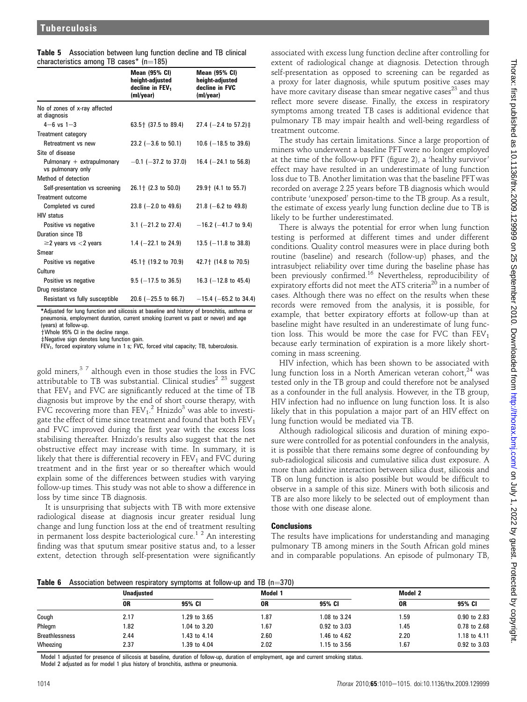|  | <b>Table 5</b> Association between lung function decline and TB clinical |  |  |
|--|--------------------------------------------------------------------------|--|--|
|  | characteristics among TB cases* $(n=185)$                                |  |  |

|                                                   | <b>Mean (95% CI)</b><br>height-adjusted<br>decline in FEV <sub>1</sub><br>(ml/year) | <b>Mean (95% CI)</b><br>height-adjusted<br>decline in FVC<br>(ml/year) |
|---------------------------------------------------|-------------------------------------------------------------------------------------|------------------------------------------------------------------------|
| No of zones of x-ray affected<br>at diagnosis     |                                                                                     |                                                                        |
| $4 - 6$ vs $1 - 3$                                | 63.5 <sup>+</sup> (37.5 to 89.4)                                                    | 27.4 ( $-2.4$ to 57.2) $\ddagger$                                      |
| Treatment category                                |                                                                                     |                                                                        |
| Retreatment vs new                                | 23.2 ( $-3.6$ to 50.1)                                                              | 10.6 $(-18.5 \text{ to } 39.6)$                                        |
| Site of disease                                   |                                                                                     |                                                                        |
| Pulmonary $+$ extrapulmonary<br>vs pulmonary only | $-0.1$ ( $-37.2$ to 37.0)                                                           | 16.4 $(-24.1$ to 56.8)                                                 |
| Method of detection                               |                                                                                     |                                                                        |
| Self-presentation vs screening                    | $26.1 + (2.3 \text{ to } 50.0)$                                                     | 29.9 t (4.1 to 55.7)                                                   |
| <b>Treatment outcome</b>                          |                                                                                     |                                                                        |
| Completed vs cured                                | 23.8 $(-2.0 \text{ to } 49.6)$                                                      | 21.8 ( $-6.2$ to 49.8)                                                 |
| <b>HIV</b> status                                 |                                                                                     |                                                                        |
| Positive vs negative                              | $3.1$ (-21.2 to 27.4)                                                               | $-16.2$ ( $-41.7$ to 9.4)                                              |
| Duration since TB                                 |                                                                                     |                                                                        |
| $\geq$ 2 years vs $<$ 2 years                     | 1.4 $(-22.1$ to 24.9)                                                               | 13.5 $(-11.8$ to 38.8)                                                 |
| Smear                                             |                                                                                     |                                                                        |
| Positive vs negative                              | 45.1 + (19.2 to 70.9)                                                               | 42.7 + (14.8 to 70.5)                                                  |
| Culture                                           |                                                                                     |                                                                        |
| Positive vs negative                              | $9.5$ (-17.5 to 36.5)                                                               | 16.3 ( $-12.8$ to 45.4)                                                |
| Drug resistance                                   |                                                                                     |                                                                        |
| Resistant vs fully susceptible                    | $20.6$ ( $-25.5$ to 66.7)                                                           | $-15.4$ (-65.2 to 34.4)                                                |
|                                                   |                                                                                     |                                                                        |

\*Adjusted for lung function and silicosis at baseline and history of bronchitis, asthma or pneumonia, employment duration, current smoking (current vs past or never) and age (years) at follow-up.

yWhole 95% CI in the decline range.

zNegative sign denotes lung function gain.

 $FEV<sub>1</sub>$ , forced expiratory volume in 1 s; FVC, forced vital capacity; TB, tuberculosis.

gold miners,  $37$  although even in those studies the loss in FVC attributable to TB was substantial. Clinical studies<sup>2 23</sup> suggest that  $FEV<sub>1</sub>$  and  $FVC$  are significantly reduced at the time of TB diagnosis but improve by the end of short course therapy, with FVC recovering more than  $\text{FEV}_1$ .<sup>2</sup> Hnizdo<sup>3</sup> was able to investigate the effect of time since treatment and found that both  $FEV<sub>1</sub>$ and FVC improved during the first year with the excess loss stabilising thereafter. Hnizdo's results also suggest that the net obstructive effect may increase with time. In summary, it is likely that there is differential recovery in  $FEV<sub>1</sub>$  and  $FVC$  during treatment and in the first year or so thereafter which would explain some of the differences between studies with varying follow-up times. This study was not able to show a difference in loss by time since TB diagnosis.

It is unsurprising that subjects with TB with more extensive radiological disease at diagnosis incur greater residual lung change and lung function loss at the end of treatment resulting in permanent loss despite bacteriological cure.<sup>12</sup> An interesting finding was that sputum smear positive status and, to a lesser extent, detection through self-presentation were significantly

associated with excess lung function decline after controlling for extent of radiological change at diagnosis. Detection through self-presentation as opposed to screening can be regarded as a proxy for later diagnosis, while sputum positive cases may have more cavitary disease than smear negative cases<sup>23</sup> and thus reflect more severe disease. Finally, the excess in respiratory symptoms among treated TB cases is additional evidence that pulmonary TB may impair health and well-being regardless of treatment outcome.

The study has certain limitations. Since a large proportion of miners who underwent a baseline PFTwere no longer employed at the time of the follow-up PFT (figure 2), a 'healthy survivor' effect may have resulted in an underestimate of lung function loss due to TB. Another limitation was that the baseline PFTwas recorded on average 2.25 years before TB diagnosis which would contribute 'unexposed' person-time to the TB group. As a result, the estimate of excess yearly lung function decline due to TB is likely to be further underestimated.

There is always the potential for error when lung function testing is performed at different times and under different conditions. Quality control measures were in place during both routine (baseline) and research (follow-up) phases, and the intrasubject reliability over time during the baseline phase has been previously confirmed.<sup>16</sup> Nevertheless, reproducibility of  $\frac{1}{20}$  expiratory efforts did not meet the ATS criteria<sup>20</sup> in a number of cases. Although there was no effect on the results when these records were removed from the analysis, it is possible, for example, that better expiratory efforts at follow-up than at baseline might have resulted in an underestimate of lung function loss. This would be more the case for FVC than  $FEV<sub>1</sub>$ because early termination of expiration is a more likely shortcoming in mass screening.

HIV infection, which has been shown to be associated with lung function loss in a North American veteran cohort, $24$  was tested only in the TB group and could therefore not be analysed as a confounder in the full analysis. However, in the TB group, HIV infection had no influence on lung function loss. It is also likely that in this population a major part of an HIV effect on lung function would be mediated via TB.

Although radiological silicosis and duration of mining exposure were controlled for as potential confounders in the analysis, it is possible that there remains some degree of confounding by sub-radiological silicosis and cumulative silica dust exposure. A more than additive interaction between silica dust, silicosis and TB on lung function is also possible but would be difficult to observe in a sample of this size. Miners with both silicosis and TB are also more likely to be selected out of employment than those with one disease alone.

### **Conclusions**

The results have implications for understanding and managing pulmonary TB among miners in the South African gold mines and in comparable populations. An episode of pulmonary TB,

**Table 6** Association between respiratory symptoms at follow-up and TB ( $n=370$ )

|                       | <b>Unadiusted</b> |              | Model 1 |              | Model 2 |              |
|-----------------------|-------------------|--------------|---------|--------------|---------|--------------|
|                       | 0R                | 95% CI       | 0R      | 95% CI       | 0R      | 95% CI       |
| Cough                 | 2.17              | 1.29 to 3.65 | 1.87    | 1.08 to 3.24 | 1.59    | 0.90 to 2.83 |
| Phlegm                | 1.82              | 1.04 to 3.20 | 1.67    | 0.92 to 3.03 | 1.45    | 0.78 to 2.68 |
| <b>Breathlessness</b> | 2.44              | 1.43 to 4.14 | 2.60    | 1.46 to 4.62 | 2.20    | 1.18 to 4.11 |
| Wheezing              | 2.37              | 1.39 to 4.04 | 2.02    | 1.15 to 3.56 | l 67    | 0.92 to 3.03 |

Model 1 adjusted for presence of silicosis at baseline, duration of follow-up, duration of employment, age and current smoking status.

Model 2 adjusted as for model 1 plus history of bronchitis, asthma or pneumonia.